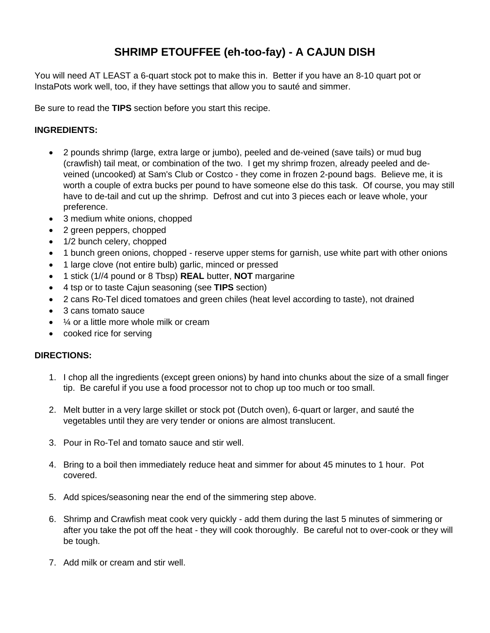## **SHRIMP ETOUFFEE (eh-too-fay) - A CAJUN DISH**

You will need AT LEAST a 6-quart stock pot to make this in. Better if you have an 8-10 quart pot or InstaPots work well, too, if they have settings that allow you to sauté and simmer.

Be sure to read the **TIPS** section before you start this recipe.

## **INGREDIENTS:**

- 2 pounds shrimp (large, extra large or jumbo), peeled and de-veined (save tails) or mud bug (crawfish) tail meat, or combination of the two. I get my shrimp frozen, already peeled and deveined (uncooked) at Sam's Club or Costco - they come in frozen 2-pound bags. Believe me, it is worth a couple of extra bucks per pound to have someone else do this task. Of course, you may still have to de-tail and cut up the shrimp. Defrost and cut into 3 pieces each or leave whole, your preference.
- 3 medium white onions, chopped
- 2 green peppers, chopped
- 1/2 bunch celery, chopped
- 1 bunch green onions, chopped reserve upper stems for garnish, use white part with other onions
- 1 large clove (not entire bulb) garlic, minced or pressed
- 1 stick (1//4 pound or 8 Tbsp) **REAL** butter, **NOT** margarine
- 4 tsp or to taste Cajun seasoning (see **TIPS** section)
- 2 cans Ro-Tel diced tomatoes and green chiles (heat level according to taste), not drained
- 3 cans tomato sauce
- $\frac{1}{4}$  or a little more whole milk or cream
- cooked rice for serving

## **DIRECTIONS:**

- 1. I chop all the ingredients (except green onions) by hand into chunks about the size of a small finger tip. Be careful if you use a food processor not to chop up too much or too small.
- 2. Melt butter in a very large skillet or stock pot (Dutch oven), 6-quart or larger, and sauté the vegetables until they are very tender or onions are almost translucent.
- 3. Pour in Ro-Tel and tomato sauce and stir well.
- 4. Bring to a boil then immediately reduce heat and simmer for about 45 minutes to 1 hour. Pot covered.
- 5. Add spices/seasoning near the end of the simmering step above.
- 6. Shrimp and Crawfish meat cook very quickly add them during the last 5 minutes of simmering or after you take the pot off the heat - they will cook thoroughly. Be careful not to over-cook or they will be tough.
- 7. Add milk or cream and stir well.